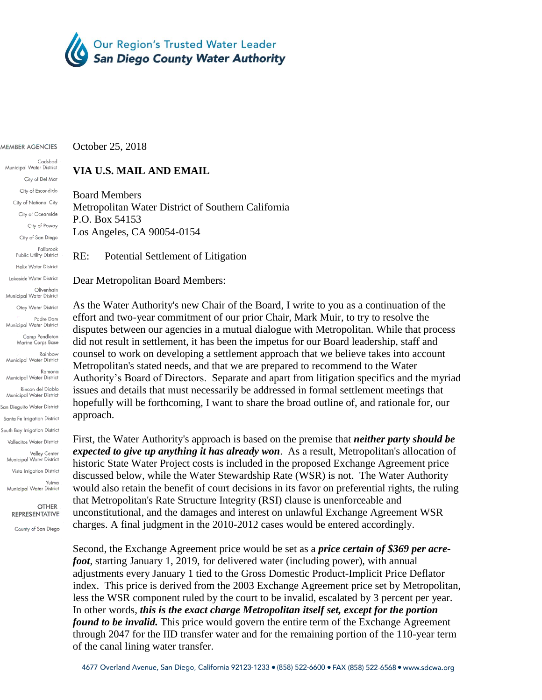

MEMBER AGENCIES

## Carlsbad Municipal Water District City of Del Mar City of Escondido City of National City City of Oceanside City of Poway City of San Diego Fallbrook Public Utility District Helix Water District Lakeside Water District Olivenhain Municipal Water District Otay Water District Padre Dam Municipal Water District Camp Pendleton Marine Corps Base Rainhow Municipal Water District Ramona Municipal Water District Rincon del Diablo<br>Municipal Water District San Dieauito Water District Santa Fe Irrigation District South Bay Irrigation District Vallecitos Water District Valley Center<br>Municipal Water District

Vista Irrigation District Yuima Municipal Water District

**OTHER REPRESENTATIVE** 

County of San Diego

October 25, 2018

## **VIA U.S. MAIL AND EMAIL**

Board Members Metropolitan Water District of Southern California P.O. Box 54153 Los Angeles, CA 90054-0154

RE: Potential Settlement of Litigation

Dear Metropolitan Board Members:

As the Water Authority's new Chair of the Board, I write to you as a continuation of the effort and two-year commitment of our prior Chair, Mark Muir, to try to resolve the disputes between our agencies in a mutual dialogue with Metropolitan. While that process did not result in settlement, it has been the impetus for our Board leadership, staff and counsel to work on developing a settlement approach that we believe takes into account Metropolitan's stated needs, and that we are prepared to recommend to the Water Authority's Board of Directors. Separate and apart from litigation specifics and the myriad issues and details that must necessarily be addressed in formal settlement meetings that hopefully will be forthcoming, I want to share the broad outline of, and rationale for, our approach.

First, the Water Authority's approach is based on the premise that *neither party should be expected to give up anything it has already won*. As a result, Metropolitan's allocation of historic State Water Project costs is included in the proposed Exchange Agreement price discussed below, while the Water Stewardship Rate (WSR) is not. The Water Authority would also retain the benefit of court decisions in its favor on preferential rights, the ruling that Metropolitan's Rate Structure Integrity (RSI) clause is unenforceable and unconstitutional, and the damages and interest on unlawful Exchange Agreement WSR charges. A final judgment in the 2010-2012 cases would be entered accordingly.

Second, the Exchange Agreement price would be set as a *price certain of \$369 per acrefoot*, starting January 1, 2019, for delivered water (including power), with annual adjustments every January 1 tied to the Gross Domestic Product-Implicit Price Deflator index. This price is derived from the 2003 Exchange Agreement price set by Metropolitan, less the WSR component ruled by the court to be invalid, escalated by 3 percent per year. In other words, *this is the exact charge Metropolitan itself set, except for the portion found to be invalid.* This price would govern the entire term of the Exchange Agreement through 2047 for the IID transfer water and for the remaining portion of the 110-year term of the canal lining water transfer.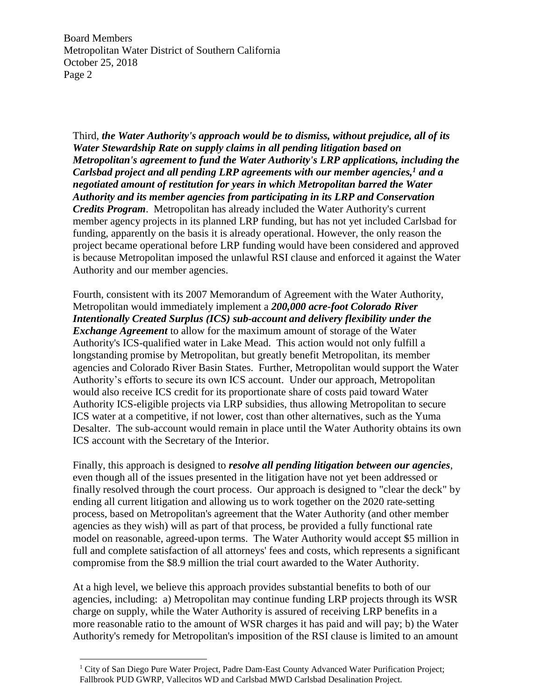Board Members Metropolitan Water District of Southern California October 25, 2018 Page 2

Third, *the Water Authority's approach would be to dismiss, without prejudice, all of its Water Stewardship Rate on supply claims in all pending litigation based on Metropolitan's agreement to fund the Water Authority's LRP applications, including the Carlsbad project and all pending LRP agreements with our member agencies, <sup>1</sup> and a negotiated amount of restitution for years in which Metropolitan barred the Water Authority and its member agencies from participating in its LRP and Conservation Credits Program*. Metropolitan has already included the Water Authority's current member agency projects in its planned LRP funding, but has not yet included Carlsbad for funding, apparently on the basis it is already operational. However, the only reason the project became operational before LRP funding would have been considered and approved is because Metropolitan imposed the unlawful RSI clause and enforced it against the Water Authority and our member agencies.

Fourth, consistent with its 2007 Memorandum of Agreement with the Water Authority, Metropolitan would immediately implement a *200,000 acre-foot Colorado River Intentionally Created Surplus (ICS) sub-account and delivery flexibility under the Exchange Agreement* to allow for the maximum amount of storage of the Water Authority's ICS-qualified water in Lake Mead. This action would not only fulfill a longstanding promise by Metropolitan, but greatly benefit Metropolitan, its member agencies and Colorado River Basin States. Further, Metropolitan would support the Water Authority's efforts to secure its own ICS account. Under our approach, Metropolitan would also receive ICS credit for its proportionate share of costs paid toward Water Authority ICS-eligible projects via LRP subsidies, thus allowing Metropolitan to secure ICS water at a competitive, if not lower, cost than other alternatives, such as the Yuma Desalter. The sub-account would remain in place until the Water Authority obtains its own ICS account with the Secretary of the Interior.

Finally, this approach is designed to *resolve all pending litigation between our agencies*, even though all of the issues presented in the litigation have not yet been addressed or finally resolved through the court process. Our approach is designed to "clear the deck" by ending all current litigation and allowing us to work together on the 2020 rate-setting process, based on Metropolitan's agreement that the Water Authority (and other member agencies as they wish) will as part of that process, be provided a fully functional rate model on reasonable, agreed-upon terms. The Water Authority would accept \$5 million in full and complete satisfaction of all attorneys' fees and costs, which represents a significant compromise from the \$8.9 million the trial court awarded to the Water Authority.

At a high level, we believe this approach provides substantial benefits to both of our agencies, including: a) Metropolitan may continue funding LRP projects through its WSR charge on supply, while the Water Authority is assured of receiving LRP benefits in a more reasonable ratio to the amount of WSR charges it has paid and will pay; b) the Water Authority's remedy for Metropolitan's imposition of the RSI clause is limited to an amount

 $\overline{a}$ 

<sup>&</sup>lt;sup>1</sup> City of San Diego Pure Water Project, Padre Dam-East County Advanced Water Purification Project; Fallbrook PUD GWRP, Vallecitos WD and Carlsbad MWD Carlsbad Desalination Project.